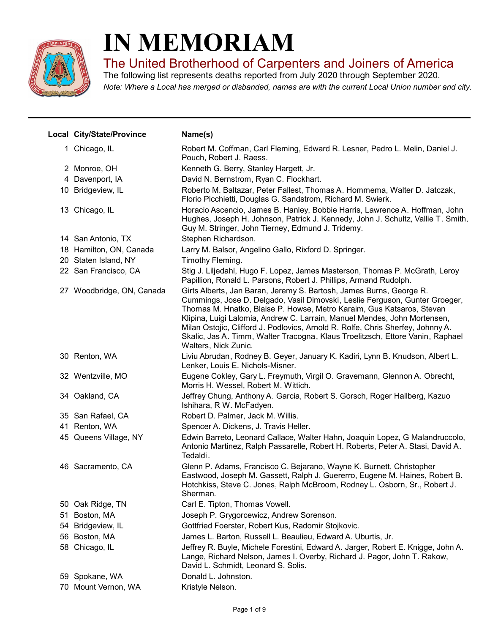

## IN MEMORIAM

The United Brotherhood of Carpenters and Joiners of America

Note: Where a Local has merged or disbanded, names are with the current Local Union number and city. The following list represents deaths reported from July 2020 through September 2020.

| Local City/State/Province | Name(s)                                                                                                                                                                                                                                                                                                                                                                                                                                                                                               |
|---------------------------|-------------------------------------------------------------------------------------------------------------------------------------------------------------------------------------------------------------------------------------------------------------------------------------------------------------------------------------------------------------------------------------------------------------------------------------------------------------------------------------------------------|
| 1 Chicago, IL             | Robert M. Coffman, Carl Fleming, Edward R. Lesner, Pedro L. Melin, Daniel J.<br>Pouch, Robert J. Raess.                                                                                                                                                                                                                                                                                                                                                                                               |
| 2 Monroe, OH              | Kenneth G. Berry, Stanley Hargett, Jr.                                                                                                                                                                                                                                                                                                                                                                                                                                                                |
| 4 Davenport, IA           | David N. Bernstrom, Ryan C. Flockhart.                                                                                                                                                                                                                                                                                                                                                                                                                                                                |
| 10 Bridgeview, IL         | Roberto M. Baltazar, Peter Fallest, Thomas A. Hommema, Walter D. Jatczak,<br>Florio Picchietti, Douglas G. Sandstrom, Richard M. Swierk.                                                                                                                                                                                                                                                                                                                                                              |
| 13 Chicago, IL            | Horacio Ascencio, James B. Hanley, Bobbie Harris, Lawrence A. Hoffman, John<br>Hughes, Joseph H. Johnson, Patrick J. Kennedy, John J. Schultz, Vallie T. Smith,<br>Guy M. Stringer, John Tierney, Edmund J. Tridemy.                                                                                                                                                                                                                                                                                  |
| 14 San Antonio, TX        | Stephen Richardson.                                                                                                                                                                                                                                                                                                                                                                                                                                                                                   |
| 18 Hamilton, ON, Canada   | Larry M. Balsor, Angelino Gallo, Rixford D. Springer.                                                                                                                                                                                                                                                                                                                                                                                                                                                 |
| 20 Staten Island, NY      | Timothy Fleming.                                                                                                                                                                                                                                                                                                                                                                                                                                                                                      |
| 22 San Francisco, CA      | Stig J. Liljedahl, Hugo F. Lopez, James Masterson, Thomas P. McGrath, Leroy<br>Papillion, Ronald L. Parsons, Robert J. Phillips, Armand Rudolph.                                                                                                                                                                                                                                                                                                                                                      |
| 27 Woodbridge, ON, Canada | Girts Alberts, Jan Baran, Jeremy S. Bartosh, James Burns, George R.<br>Cummings, Jose D. Delgado, Vasil Dimovski, Leslie Ferguson, Gunter Groeger,<br>Thomas M. Hnatko, Blaise P. Howse, Metro Karaim, Gus Katsaros, Stevan<br>Klipina, Luigi Lalomia, Andrew C. Larrain, Manuel Mendes, John Mortensen,<br>Milan Ostojic, Clifford J. Podlovics, Arnold R. Rolfe, Chris Sherfey, Johnny A.<br>Skalic, Jas A. Timm, Walter Tracogna, Klaus Troelitzsch, Ettore Vanin, Raphael<br>Walters, Nick Zunic. |
| 30 Renton, WA             | Liviu Abrudan, Rodney B. Geyer, January K. Kadiri, Lynn B. Knudson, Albert L.<br>Lenker, Louis E. Nichols-Misner.                                                                                                                                                                                                                                                                                                                                                                                     |
| 32 Wentzville, MO         | Eugene Cokley, Gary L. Freymuth, Virgil O. Gravemann, Glennon A. Obrecht,<br>Morris H. Wessel, Robert M. Wittich.                                                                                                                                                                                                                                                                                                                                                                                     |
| 34 Oakland, CA            | Jeffrey Chung, Anthony A. Garcia, Robert S. Gorsch, Roger Hallberg, Kazuo<br>Ishihara, R W. McFadyen.                                                                                                                                                                                                                                                                                                                                                                                                 |
| 35 San Rafael, CA         | Robert D. Palmer, Jack M. Willis.                                                                                                                                                                                                                                                                                                                                                                                                                                                                     |
| 41 Renton, WA             | Spencer A. Dickens, J. Travis Heller.                                                                                                                                                                                                                                                                                                                                                                                                                                                                 |
| 45 Queens Village, NY     | Edwin Barreto, Leonard Callace, Walter Hahn, Joaquin Lopez, G Malandruccolo,<br>Antonio Martinez, Ralph Passarelle, Robert H. Roberts, Peter A. Stasi, David A.<br>Tedaldi.                                                                                                                                                                                                                                                                                                                           |
| 46 Sacramento, CA         | Glenn P. Adams, Francisco C. Bejarano, Wayne K. Burnett, Christopher<br>Eastwood, Joseph M. Gassett, Ralph J. Guererro, Eugene M. Haines, Robert B.<br>Hotchkiss, Steve C. Jones, Ralph McBroom, Rodney L. Osborn, Sr., Robert J.<br>Sherman.                                                                                                                                                                                                                                                         |
| 50 Oak Ridge, TN          | Carl E. Tipton, Thomas Vowell.                                                                                                                                                                                                                                                                                                                                                                                                                                                                        |
| 51 Boston, MA             | Joseph P. Grygorcewicz, Andrew Sorenson.                                                                                                                                                                                                                                                                                                                                                                                                                                                              |
| 54 Bridgeview, IL         | Gottfried Foerster, Robert Kus, Radomir Stojkovic.                                                                                                                                                                                                                                                                                                                                                                                                                                                    |
| 56 Boston, MA             | James L. Barton, Russell L. Beaulieu, Edward A. Uburtis, Jr.                                                                                                                                                                                                                                                                                                                                                                                                                                          |
| 58 Chicago, IL            | Jeffrey R. Buyle, Michele Forestini, Edward A. Jarger, Robert E. Knigge, John A.<br>Lange, Richard Nelson, James I. Overby, Richard J. Pagor, John T. Rakow,<br>David L. Schmidt, Leonard S. Solis.                                                                                                                                                                                                                                                                                                   |
| 59 Spokane, WA            | Donald L. Johnston.                                                                                                                                                                                                                                                                                                                                                                                                                                                                                   |
| 70 Mount Vernon, WA       | Kristyle Nelson.                                                                                                                                                                                                                                                                                                                                                                                                                                                                                      |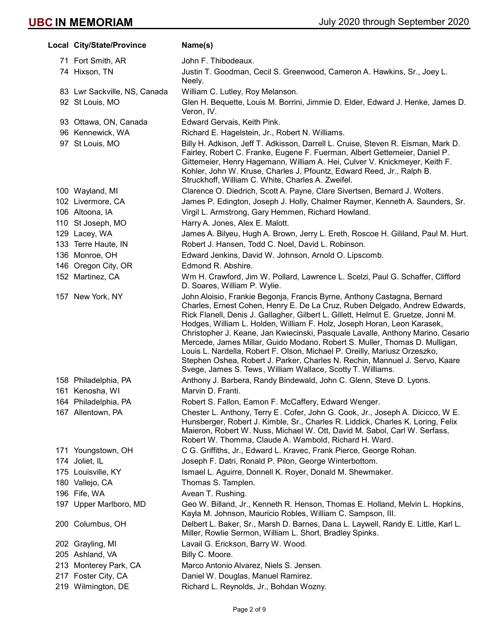| Local City/State/Province    | Name(s)                                                                                                                                                                                                                                                                                                                                                                                                                                                                                                                                                                                                                                                                                                          |
|------------------------------|------------------------------------------------------------------------------------------------------------------------------------------------------------------------------------------------------------------------------------------------------------------------------------------------------------------------------------------------------------------------------------------------------------------------------------------------------------------------------------------------------------------------------------------------------------------------------------------------------------------------------------------------------------------------------------------------------------------|
| 71 Fort Smith, AR            | John F. Thibodeaux.                                                                                                                                                                                                                                                                                                                                                                                                                                                                                                                                                                                                                                                                                              |
| 74 Hixson, TN                | Justin T. Goodman, Cecil S. Greenwood, Cameron A. Hawkins, Sr., Joey L.<br>Neely.                                                                                                                                                                                                                                                                                                                                                                                                                                                                                                                                                                                                                                |
| 83 Lwr Sackville, NS, Canada | William C. Lutley, Roy Melanson.                                                                                                                                                                                                                                                                                                                                                                                                                                                                                                                                                                                                                                                                                 |
| 92 St Louis, MO              | Glen H. Bequette, Louis M. Borrini, Jimmie D. Elder, Edward J. Henke, James D.<br>Veron, IV.                                                                                                                                                                                                                                                                                                                                                                                                                                                                                                                                                                                                                     |
| 93 Ottawa, ON, Canada        | Edward Gervais, Keith Pink.                                                                                                                                                                                                                                                                                                                                                                                                                                                                                                                                                                                                                                                                                      |
| 96 Kennewick, WA             | Richard E. Hagelstein, Jr., Robert N. Williams.                                                                                                                                                                                                                                                                                                                                                                                                                                                                                                                                                                                                                                                                  |
| 97 St Louis, MO              | Billy H. Adkison, Jeff T. Adkisson, Darrell L. Cruise, Steven R. Eisman, Mark D.<br>Fairley, Robert C. Franke, Eugene F. Fuerman, Albert Gettemeier, Daniel P.<br>Gittemeier, Henry Hagemann, William A. Hei, Culver V. Knickmeyer, Keith F.<br>Kohler, John W. Kruse, Charles J. Pfountz, Edward Reed, Jr., Ralph B.<br>Struckhoff, William C. White, Charles A. Zweifel.                                                                                                                                                                                                                                                                                                                                       |
| 100 Wayland, MI              | Clarence O. Diedrich, Scott A. Payne, Clare Sivertsen, Bernard J. Wolters.                                                                                                                                                                                                                                                                                                                                                                                                                                                                                                                                                                                                                                       |
| 102 Livermore, CA            | James P. Edington, Joseph J. Holly, Chalmer Raymer, Kenneth A. Saunders, Sr.                                                                                                                                                                                                                                                                                                                                                                                                                                                                                                                                                                                                                                     |
| 106 Altoona, IA              | Virgil L. Armstrong, Gary Hemmen, Richard Howland.                                                                                                                                                                                                                                                                                                                                                                                                                                                                                                                                                                                                                                                               |
| 110 St Joseph, MO            | Harry A. Jones, Alex E. Malott.                                                                                                                                                                                                                                                                                                                                                                                                                                                                                                                                                                                                                                                                                  |
| 129 Lacey, WA                | James A. Bilyeu, Hugh A. Brown, Jerry L. Ereth, Roscoe H. Gililand, Paul M. Hurt.                                                                                                                                                                                                                                                                                                                                                                                                                                                                                                                                                                                                                                |
| 133 Terre Haute, IN          | Robert J. Hansen, Todd C. Noel, David L. Robinson.                                                                                                                                                                                                                                                                                                                                                                                                                                                                                                                                                                                                                                                               |
| 136 Monroe, OH               | Edward Jenkins, David W. Johnson, Arnold O. Lipscomb.                                                                                                                                                                                                                                                                                                                                                                                                                                                                                                                                                                                                                                                            |
| 146 Oregon City, OR          | Edmond R. Abshire.                                                                                                                                                                                                                                                                                                                                                                                                                                                                                                                                                                                                                                                                                               |
| 152 Martinez, CA             | Wm H. Crawford, Jim W. Pollard, Lawrence L. Scelzi, Paul G. Schaffer, Clifford<br>D. Soares, William P. Wylie.                                                                                                                                                                                                                                                                                                                                                                                                                                                                                                                                                                                                   |
| 157 New York, NY             | John Aloisio, Frankie Begonja, Francis Byrne, Anthony Castagna, Bernard<br>Charles, Ernest Cohen, Henry E. De La Cruz, Ruben Delgado, Andrew Edwards,<br>Rick Flanell, Denis J. Gallagher, Gilbert L. Gillett, Helmut E. Gruetze, Jonni M.<br>Hodges, William L. Holden, William F. Holz, Joseph Horan, Leon Karasek,<br>Christopher J. Keane, Jan Kwiecinski, Pasquale Lavalle, Anthony Marino, Cesario<br>Mercede, James Millar, Guido Modano, Robert S. Muller, Thomas D. Mulligan,<br>Louis L. Nardella, Robert F. Olson, Michael P. Oreilly, Mariusz Orzeszko,<br>Stephen Oshea, Robert J. Parker, Charles N. Rechin, Mannuel J. Servo, Kaare<br>Svege, James S. Tews, William Wallace, Scotty T. Williams. |
| 158 Philadelphia, PA         | Anthony J. Barbera, Randy Bindewald, John C. Glenn, Steve D. Lyons.                                                                                                                                                                                                                                                                                                                                                                                                                                                                                                                                                                                                                                              |
| 161 Kenosha, WI              | Marvin D. Franti.                                                                                                                                                                                                                                                                                                                                                                                                                                                                                                                                                                                                                                                                                                |
| 164 Philadelphia, PA         | Robert S. Fallon, Eamon F. McCaffery, Edward Wenger.                                                                                                                                                                                                                                                                                                                                                                                                                                                                                                                                                                                                                                                             |
| 167 Allentown, PA            | Chester L. Anthony, Terry E. Cofer, John G. Cook, Jr., Joseph A. Dicicco, W E.<br>Hunsberger, Robert J. Kimble, Sr., Charles R. Liddick, Charles K. Loring, Felix<br>Maieron, Robert W. Nuss, Michael W. Ott, David M. Sabol, Carl W. Serfass,<br>Robert W. Thomma, Claude A. Wambold, Richard H. Ward.                                                                                                                                                                                                                                                                                                                                                                                                          |
| 171 Youngstown, OH           | C G. Griffiths, Jr., Edward L. Kravec, Frank Pierce, George Rohan.                                                                                                                                                                                                                                                                                                                                                                                                                                                                                                                                                                                                                                               |
| 174 Joliet, IL               | Joseph F. Datri, Ronald P. Pilon, George Winterbottom.                                                                                                                                                                                                                                                                                                                                                                                                                                                                                                                                                                                                                                                           |
| 175 Louisville, KY           | Ismael L. Aguirre, Donnell K. Royer, Donald M. Shewmaker.                                                                                                                                                                                                                                                                                                                                                                                                                                                                                                                                                                                                                                                        |
| 180 Vallejo, CA              | Thomas S. Tamplen.                                                                                                                                                                                                                                                                                                                                                                                                                                                                                                                                                                                                                                                                                               |
| 196 Fife, WA                 | Avean T. Rushing.                                                                                                                                                                                                                                                                                                                                                                                                                                                                                                                                                                                                                                                                                                |
| 197 Upper Marlboro, MD       | Geo W. Billand, Jr., Kenneth R. Henson, Thomas E. Holland, Melvin L. Hopkins,<br>Kayla M. Johnson, Mauricio Robles, William C. Sampson, III.                                                                                                                                                                                                                                                                                                                                                                                                                                                                                                                                                                     |
| 200 Columbus, OH             | Delbert L. Baker, Sr., Marsh D. Barnes, Dana L. Laywell, Randy E. Little, Karl L.<br>Miller, Rowlie Sermon, William L. Short, Bradley Spinks.                                                                                                                                                                                                                                                                                                                                                                                                                                                                                                                                                                    |
| 202 Grayling, MI             | Lavail G. Erickson, Barry W. Wood.                                                                                                                                                                                                                                                                                                                                                                                                                                                                                                                                                                                                                                                                               |
| 205 Ashland, VA              | Billy C. Moore.                                                                                                                                                                                                                                                                                                                                                                                                                                                                                                                                                                                                                                                                                                  |
| 213 Monterey Park, CA        | Marco Antonio Alvarez, Niels S. Jensen.                                                                                                                                                                                                                                                                                                                                                                                                                                                                                                                                                                                                                                                                          |
| 217 Foster City, CA          | Daniel W. Douglas, Manuel Ramirez.                                                                                                                                                                                                                                                                                                                                                                                                                                                                                                                                                                                                                                                                               |
| 219 Wilmington, DE           | Richard L. Reynolds, Jr., Bohdan Wozny.                                                                                                                                                                                                                                                                                                                                                                                                                                                                                                                                                                                                                                                                          |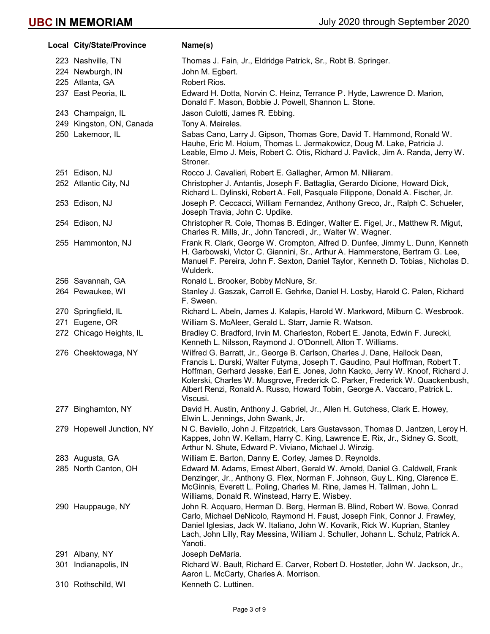Local City/State/Province Name(s) 223 Nashville, TN Thomas J. Fain, Jr., Eldridge Patrick, Sr., Robt B. Springer. 224 Newburgh, IN John M. Egbert. 225 Atlanta, GA Robert Rios. 237 East Peoria, IL Edward H. Dotta, Norvin C. Heinz, Terrance P. Hyde, Lawrence D. Marion, Donald F. Mason, Bobbie J. Powell, Shannon L. Stone. 243 Champaign, IL Jason Culotti, James R. Ebbing. 249 Kingston, ON, Canada Tony A. Meireles. 250 Lakemoor, IL Sabas Cano, Larry J. Gipson, Thomas Gore, David T. Hammond, Ronald W. Hauhe, Eric M. Hoium, Thomas L. Jermakowicz, Doug M. Lake, Patricia J. Leable, Elmo J. Meis, Robert C. Otis, Richard J. Pavlick, Jim A. Randa, Jerry W. Stroner. 251 Edison, NJ Rocco J. Cavalieri, Robert E. Gallagher, Armon M. Niliaram. 252 Atlantic City, NJ Christopher J. Antantis, Joseph F. Battaglia, Gerardo Dicione, Howard Dick, Richard L. Dylinski, Robert A. Fell, Pasquale Filippone, Donald A. Fischer, Jr. 253 Edison, NJ Joseph P. Ceccacci, William Fernandez, Anthony Greco, Jr., Ralph C. Schueler, Joseph Travia, John C. Updike. 254 Edison, NJ Christopher R. Cole, Thomas B. Edinger, Walter E. Figel, Jr., Matthew R. Migut, Charles R. Mills, Jr., John Tancredi, Jr., Walter W. Wagner. 255 Hammonton, NJ Frank R. Clark, George W. Crompton, Alfred D. Dunfee, Jimmy L. Dunn, Kenneth H. Garbowski, Victor C. Giannini, Sr., Arthur A. Hammerstone, Bertram G. Lee, Manuel F. Pereira, John F. Sexton, Daniel Taylor, Kenneth D. Tobias, Nicholas D. Wulderk. 256 Savannah, GA Ronald L. Brooker, Bobby McNure, Sr. 264 Pewaukee, WI Stanley J. Gaszak, Carroll E. Gehrke, Daniel H. Losby, Harold C. Palen, Richard F. Sween. 270 Springfield, IL Richard L. Abeln, James J. Kalapis, Harold W. Markword, Milburn C. Wesbrook. 271 Eugene, OR William S. McAleer, Gerald L. Starr, Jamie R. Watson. 272 Chicago Heights, IL Bradley C. Bradford, Irvin M. Charleston, Robert E. Janota, Edwin F. Jurecki, Kenneth L. Nilsson, Raymond J. O'Donnell, Alton T. Williams. 276 Cheektowaga, NY Wilfred G. Barratt, Jr., George B. Carlson, Charles J. Dane, Hallock Dean, Francis L. Durski, Walter Futyma, Joseph T. Gaudino, Paul Hoffman, Robert T. Hoffman, Gerhard Jesske, Earl E. Jones, John Kacko, Jerry W. Knoof, Richard J. Kolerski, Charles W. Musgrove, Frederick C. Parker, Frederick W. Quackenbush, Albert Renzi, Ronald A. Russo, Howard Tobin, George A. Vaccaro, Patrick L. Viscusi. 277 Binghamton, NY David H. Austin, Anthony J. Gabriel, Jr., Allen H. Gutchess, Clark E. Howey, Elwin L. Jennings, John Swank, Jr. 279 Hopewell Junction, NY N C. Baviello, John J. Fitzpatrick, Lars Gustavsson, Thomas D. Jantzen, Leroy H. Kappes, John W. Kellam, Harry C. King, Lawrence E. Rix, Jr., Sidney G. Scott, Arthur N. Shute, Edward P. Viviano, Michael J. Winzig. 283 Augusta, GA William E. Barton, Danny E. Corley, James D. Reynolds. 285 North Canton, OH Edward M. Adams, Ernest Albert, Gerald W. Arnold, Daniel G. Caldwell, Frank Denzinger, Jr., Anthony G. Flex, Norman F. Johnson, Guy L. King, Clarence E. McGinnis, Everett L. Poling, Charles M. Rine, James H. Tallman, John L. Williams, Donald R. Winstead, Harry E. Wisbey. 290 Hauppauge, NY John R. Acquaro, Herman D. Berg, Herman B. Blind, Robert W. Bowe, Conrad Carlo, Michael DeNicolo, Raymond H. Faust, Joseph Fink, Connor J. Frawley, Daniel Iglesias, Jack W. Italiano, John W. Kovarik, Rick W. Kuprian, Stanley Lach, John Lilly, Ray Messina, William J. Schuller, Johann L. Schulz, Patrick A. Yanoti. 291 Albany, NY Joseph DeMaria. 301 Indianapolis, IN Richard W. Bault, Richard E. Carver, Robert D. Hostetler, John W. Jackson, Jr., Aaron L. McCarty, Charles A. Morrison. 310 Rothschild, WI Kenneth C. Luttinen.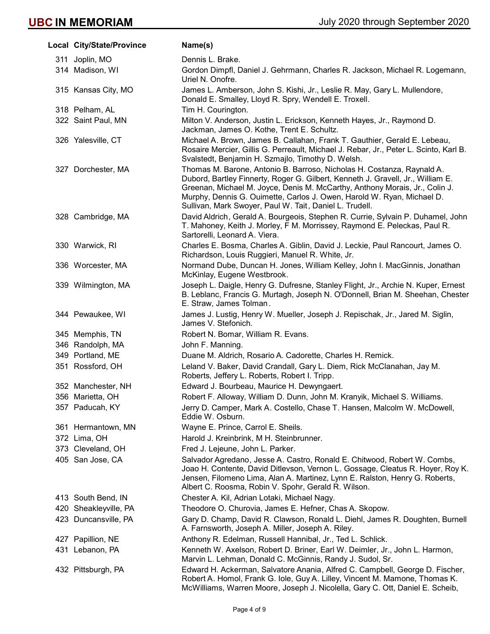| Local City/State/Province | Name(s)                                                                                                                                                                                                                                                                                                                                                                       |
|---------------------------|-------------------------------------------------------------------------------------------------------------------------------------------------------------------------------------------------------------------------------------------------------------------------------------------------------------------------------------------------------------------------------|
| 311 Joplin, MO            | Dennis L. Brake.                                                                                                                                                                                                                                                                                                                                                              |
| 314 Madison, WI           | Gordon Dimpfl, Daniel J. Gehrmann, Charles R. Jackson, Michael R. Logemann,<br>Uriel N. Onofre.                                                                                                                                                                                                                                                                               |
| 315 Kansas City, MO       | James L. Amberson, John S. Kishi, Jr., Leslie R. May, Gary L. Mullendore,<br>Donald E. Smalley, Lloyd R. Spry, Wendell E. Troxell.                                                                                                                                                                                                                                            |
| 318 Pelham, AL            | Tim H. Courington.                                                                                                                                                                                                                                                                                                                                                            |
| 322 Saint Paul, MN        | Milton V. Anderson, Justin L. Erickson, Kenneth Hayes, Jr., Raymond D.<br>Jackman, James O. Kothe, Trent E. Schultz.                                                                                                                                                                                                                                                          |
| 326 Yalesville, CT        | Michael A. Brown, James B. Callahan, Frank T. Gauthier, Gerald E. Lebeau,<br>Rosaire Mercier, Gillis G. Perreault, Michael J. Rebar, Jr., Peter L. Scinto, Karl B.<br>Svalstedt, Benjamin H. Szmajlo, Timothy D. Welsh.                                                                                                                                                       |
| 327 Dorchester, MA        | Thomas M. Barone, Antonio B. Barroso, Nicholas H. Costanza, Raynald A.<br>Dubord, Bartley Finnerty, Roger G. Gilbert, Kenneth J. Gravell, Jr., William E.<br>Greenan, Michael M. Joyce, Denis M. McCarthy, Anthony Morais, Jr., Colin J.<br>Murphy, Dennis G. Ouimette, Carlos J. Owen, Harold W. Ryan, Michael D.<br>Sullivan, Mark Swoyer, Paul W. Tait, Daniel L. Trudell. |
| 328 Cambridge, MA         | David Aldrich, Gerald A. Bourgeois, Stephen R. Currie, Sylvain P. Duhamel, John<br>T. Mahoney, Keith J. Morley, F M. Morrissey, Raymond E. Peleckas, Paul R.<br>Sartorelli, Leonard A. Viera.                                                                                                                                                                                 |
| 330 Warwick, RI           | Charles E. Bosma, Charles A. Giblin, David J. Leckie, Paul Rancourt, James O.<br>Richardson, Louis Ruggieri, Manuel R. White, Jr.                                                                                                                                                                                                                                             |
| 336 Worcester, MA         | Normand Dube, Duncan H. Jones, William Kelley, John I. MacGinnis, Jonathan<br>McKinlay, Eugene Westbrook.                                                                                                                                                                                                                                                                     |
| 339 Wilmington, MA        | Joseph L. Daigle, Henry G. Dufresne, Stanley Flight, Jr., Archie N. Kuper, Ernest<br>B. Leblanc, Francis G. Murtagh, Joseph N. O'Donnell, Brian M. Sheehan, Chester<br>E. Straw, James Tolman.                                                                                                                                                                                |
| 344 Pewaukee, WI          | James J. Lustig, Henry W. Mueller, Joseph J. Repischak, Jr., Jared M. Siglin,<br>James V. Stefonich.                                                                                                                                                                                                                                                                          |
| 345 Memphis, TN           | Robert N. Bomar, William R. Evans.                                                                                                                                                                                                                                                                                                                                            |
| 346 Randolph, MA          | John F. Manning.                                                                                                                                                                                                                                                                                                                                                              |
| 349 Portland, ME          | Duane M. Aldrich, Rosario A. Cadorette, Charles H. Remick.                                                                                                                                                                                                                                                                                                                    |
| 351 Rossford, OH          | Leland V. Baker, David Crandall, Gary L. Diem, Rick McClanahan, Jay M.<br>Roberts, Jeffery L. Roberts, Robert I. Tripp.                                                                                                                                                                                                                                                       |
| 352 Manchester, NH        | Edward J. Bourbeau, Maurice H. Dewyngaert.                                                                                                                                                                                                                                                                                                                                    |
| 356 Marietta, OH          | Robert F. Alloway, William D. Dunn, John M. Kranyik, Michael S. Williams.                                                                                                                                                                                                                                                                                                     |
| 357 Paducah, KY           | Jerry D. Camper, Mark A. Costello, Chase T. Hansen, Malcolm W. McDowell,<br>Eddie W. Osburn.                                                                                                                                                                                                                                                                                  |
| 361 Hermantown, MN        | Wayne E. Prince, Carrol E. Sheils.                                                                                                                                                                                                                                                                                                                                            |
| 372 Lima, OH              | Harold J. Kreinbrink, M H. Steinbrunner.                                                                                                                                                                                                                                                                                                                                      |
| 373 Cleveland, OH         | Fred J. Lejeune, John L. Parker.                                                                                                                                                                                                                                                                                                                                              |
| 405 San Jose, CA          | Salvador Agredano, Jesse A. Castro, Ronald E. Chitwood, Robert W. Combs,<br>Joao H. Contente, David Ditlevson, Vernon L. Gossage, Cleatus R. Hoyer, Roy K.<br>Jensen, Filomeno Lima, Alan A. Martinez, Lynn E. Ralston, Henry G. Roberts,<br>Albert C. Roosma, Robin V. Spohr, Gerald R. Wilson.                                                                              |
| 413 South Bend, IN        | Chester A. Kil, Adrian Lotaki, Michael Nagy.                                                                                                                                                                                                                                                                                                                                  |
| 420 Sheakleyville, PA     | Theodore O. Churovia, James E. Hefner, Chas A. Skopow.                                                                                                                                                                                                                                                                                                                        |
| 423 Duncansville, PA      | Gary D. Champ, David R. Clawson, Ronald L. Diehl, James R. Doughten, Burnell<br>A. Farnsworth, Joseph A. Miller, Joseph A. Riley.                                                                                                                                                                                                                                             |
| 427 Papillion, NE         | Anthony R. Edelman, Russell Hannibal, Jr., Ted L. Schlick.                                                                                                                                                                                                                                                                                                                    |
| 431 Lebanon, PA           | Kenneth W. Axelson, Robert D. Briner, Earl W. Deimler, Jr., John L. Harmon,<br>Marvin L. Lehman, Donald C. McGinnis, Randy J. Sudol, Sr.                                                                                                                                                                                                                                      |
| 432 Pittsburgh, PA        | Edward H. Ackerman, Salvatore Anania, Alfred C. Campbell, George D. Fischer,<br>Robert A. Homol, Frank G. lole, Guy A. Lilley, Vincent M. Mamone, Thomas K.<br>McWilliams, Warren Moore, Joseph J. Nicolella, Gary C. Ott, Daniel E. Scheib,                                                                                                                                  |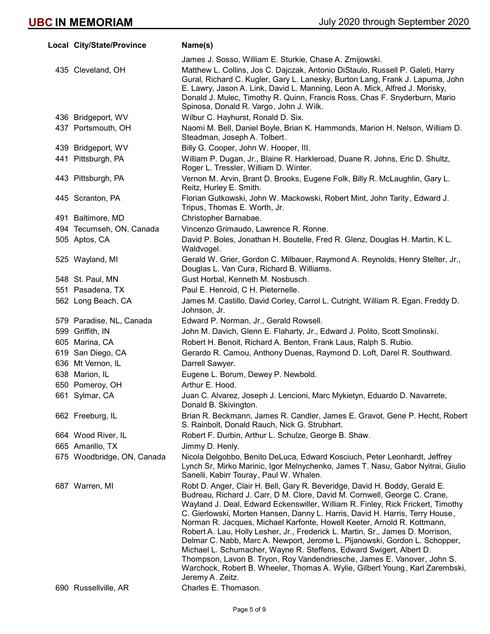| Local City/State/Province  | Name(s)                                                                                                                                                                                                                                                                                                                                                                                                                                                                                                                                                                                                                                                                                                                                                                                                                     |
|----------------------------|-----------------------------------------------------------------------------------------------------------------------------------------------------------------------------------------------------------------------------------------------------------------------------------------------------------------------------------------------------------------------------------------------------------------------------------------------------------------------------------------------------------------------------------------------------------------------------------------------------------------------------------------------------------------------------------------------------------------------------------------------------------------------------------------------------------------------------|
|                            | James J. Sosso, William E. Sturkie, Chase A. Zmijowski.                                                                                                                                                                                                                                                                                                                                                                                                                                                                                                                                                                                                                                                                                                                                                                     |
| 435 Cleveland, OH          | Matthew L. Collins, Jos C. Dajczak, Antonio DiStaulo, Russell P. Galeti, Harry<br>Gural, Richard C. Kugler, Gary L. Lanesky, Burton Lang, Frank J. Lapuma, John<br>E. Lawry, Jason A. Link, David L. Manning, Leon A. Mick, Alfred J. Morisky,<br>Donald J. Mulec, Timothy R. Quinn, Francis Ross, Chas F. Snyderburn, Mario<br>Spinosa, Donald R. Vargo, John J. Wilk.                                                                                                                                                                                                                                                                                                                                                                                                                                                     |
| 436 Bridgeport, WV         | Wilbur C. Hayhurst, Ronald D. Six.                                                                                                                                                                                                                                                                                                                                                                                                                                                                                                                                                                                                                                                                                                                                                                                          |
| 437 Portsmouth, OH         | Naomi M. Bell, Daniel Boyle, Brian K. Hammonds, Marion H. Nelson, William D.<br>Steadman, Joseph A. Tolbert.                                                                                                                                                                                                                                                                                                                                                                                                                                                                                                                                                                                                                                                                                                                |
| 439 Bridgeport, WV         | Billy G. Cooper, John W. Hooper, III.                                                                                                                                                                                                                                                                                                                                                                                                                                                                                                                                                                                                                                                                                                                                                                                       |
| 441 Pittsburgh, PA         | William P. Dugan, Jr., Blaine R. Harkleroad, Duane R. Johns, Eric D. Shultz,<br>Roger L. Tressler, William D. Winter.                                                                                                                                                                                                                                                                                                                                                                                                                                                                                                                                                                                                                                                                                                       |
| 443 Pittsburgh, PA         | Vernon M. Arvin, Brant D. Brooks, Eugene Folk, Billy R. McLaughlin, Gary L.<br>Reitz, Hurley E. Smith.                                                                                                                                                                                                                                                                                                                                                                                                                                                                                                                                                                                                                                                                                                                      |
| 445 Scranton, PA           | Florian Gutkowski, John W. Mackowski, Robert Mint, John Tarity, Edward J.<br>Tripus, Thomas E. Worth, Jr.                                                                                                                                                                                                                                                                                                                                                                                                                                                                                                                                                                                                                                                                                                                   |
| 491 Baltimore, MD          | Christopher Barnabae.                                                                                                                                                                                                                                                                                                                                                                                                                                                                                                                                                                                                                                                                                                                                                                                                       |
| 494 Tecumseh, ON, Canada   | Vincenzo Grimaudo, Lawrence R. Ronne.                                                                                                                                                                                                                                                                                                                                                                                                                                                                                                                                                                                                                                                                                                                                                                                       |
| 505 Aptos, CA              | David P. Boles, Jonathan H. Boutelle, Fred R. Glenz, Douglas H. Martin, K L.<br>Waldvogel.                                                                                                                                                                                                                                                                                                                                                                                                                                                                                                                                                                                                                                                                                                                                  |
| 525 Wayland, MI            | Gerald W. Grier, Gordon C. Milbauer, Raymond A. Reynolds, Henry Stelter, Jr.,<br>Douglas L. Van Cura, Richard B. Williams.                                                                                                                                                                                                                                                                                                                                                                                                                                                                                                                                                                                                                                                                                                  |
| 548 St. Paul, MN           | Gust Horbal, Kenneth M. Nosbusch.                                                                                                                                                                                                                                                                                                                                                                                                                                                                                                                                                                                                                                                                                                                                                                                           |
| 551 Pasadena, TX           | Paul E. Henroid, C H. Pieternelle.                                                                                                                                                                                                                                                                                                                                                                                                                                                                                                                                                                                                                                                                                                                                                                                          |
| 562 Long Beach, CA         | James M. Castillo, David Corley, Carrol L. Cutright, William R. Egan, Freddy D.<br>Johnson, Jr.                                                                                                                                                                                                                                                                                                                                                                                                                                                                                                                                                                                                                                                                                                                             |
| 579 Paradise, NL, Canada   | Edward P. Norman, Jr., Gerald Rowsell.                                                                                                                                                                                                                                                                                                                                                                                                                                                                                                                                                                                                                                                                                                                                                                                      |
| 599 Griffith, IN           | John M. Davich, Glenn E. Flaharty, Jr., Edward J. Polito, Scott Smolinski.                                                                                                                                                                                                                                                                                                                                                                                                                                                                                                                                                                                                                                                                                                                                                  |
| 605 Marina, CA             | Robert H. Benoit, Richard A. Benton, Frank Laus, Ralph S. Rubio.                                                                                                                                                                                                                                                                                                                                                                                                                                                                                                                                                                                                                                                                                                                                                            |
| 619 San Diego, CA          | Gerardo R. Camou, Anthony Duenas, Raymond D. Loft, Darel R. Southward.                                                                                                                                                                                                                                                                                                                                                                                                                                                                                                                                                                                                                                                                                                                                                      |
| 636 Mt Vernon, IL          | Darrell Sawyer.                                                                                                                                                                                                                                                                                                                                                                                                                                                                                                                                                                                                                                                                                                                                                                                                             |
| 638 Marion, IL             | Eugene L. Borum, Dewey P. Newbold.                                                                                                                                                                                                                                                                                                                                                                                                                                                                                                                                                                                                                                                                                                                                                                                          |
| 650 Pomeroy, OH            | Arthur E. Hood.                                                                                                                                                                                                                                                                                                                                                                                                                                                                                                                                                                                                                                                                                                                                                                                                             |
| 661 Sylmar, CA             | Juan C. Alvarez, Joseph J. Lencioni, Marc Mykietyn, Eduardo D. Navarrete,<br>Donald B. Skivington.                                                                                                                                                                                                                                                                                                                                                                                                                                                                                                                                                                                                                                                                                                                          |
| 662 Freeburg, IL           | Brian R. Beckmann, James R. Candler, James E. Gravot, Gene P. Hecht, Robert<br>S. Rainbolt, Donald Rauch, Nick G. Strubhart.                                                                                                                                                                                                                                                                                                                                                                                                                                                                                                                                                                                                                                                                                                |
| 664 Wood River, IL         | Robert F. Durbin, Arthur L. Schulze, George B. Shaw.                                                                                                                                                                                                                                                                                                                                                                                                                                                                                                                                                                                                                                                                                                                                                                        |
| 665 Amarillo, TX           | Jimmy D. Henly.                                                                                                                                                                                                                                                                                                                                                                                                                                                                                                                                                                                                                                                                                                                                                                                                             |
| 675 Woodbridge, ON, Canada | Nicola Delgobbo, Benito DeLuca, Edward Kosciuch, Peter Leonhardt, Jeffrey<br>Lynch Sr, Mirko Marinic, Igor Melnychenko, James T. Nasu, Gabor Nyitrai, Giulio<br>Sanelli, Kabirr Touray, Paul W. Whalen.                                                                                                                                                                                                                                                                                                                                                                                                                                                                                                                                                                                                                     |
| 687 Warren, MI             | Robt D. Anger, Clair H. Bell, Gary R. Beveridge, David H. Boddy, Gerald E.<br>Budreau, Richard J. Carr, D M. Clore, David M. Cornwell, George C. Crane,<br>Wayland J. Deal, Edward Eckenswiller, William R. Finley, Rick Frickert, Timothy<br>C. Gierlowski, Morten Hansen, Danny L. Harris, David H. Harris, Terry House,<br>Norman R. Jacques, Michael Karfonte, Howell Keeter, Arnold R. Kottmann,<br>Robert A. Lau, Holly Lesher, Jr., Frederick L. Martin, Sr., James D. Morrison,<br>Delmar C. Nabb, Marc A. Newport, Jerome L. Pijanowski, Gordon L. Schopper,<br>Michael L. Schumacher, Wayne R. Steffens, Edward Swigert, Albert D.<br>Thompson, Lavon B. Tryon, Roy Vandendriesche, James E. Vanover, John S.<br>Warchock, Robert B. Wheeler, Thomas A. Wylie, Gilbert Young, Karl Zarembski,<br>Jeremy A. Zeitz. |
| 690 Russellville, AR       | Charles E. Thomason.                                                                                                                                                                                                                                                                                                                                                                                                                                                                                                                                                                                                                                                                                                                                                                                                        |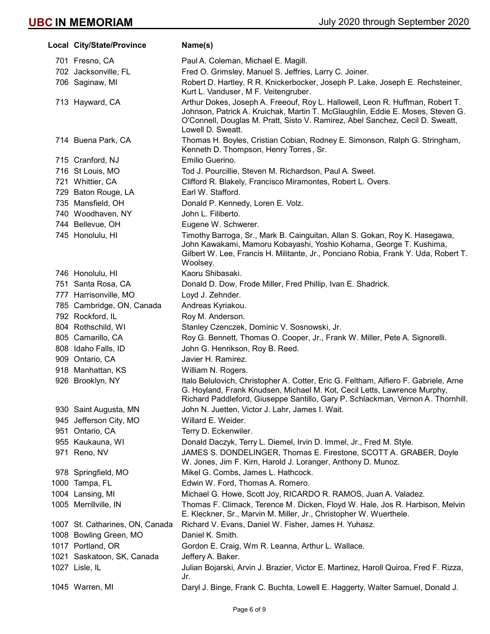| Local City/State/Province       | Name(s)                                                                                                                                                                                                                                                               |
|---------------------------------|-----------------------------------------------------------------------------------------------------------------------------------------------------------------------------------------------------------------------------------------------------------------------|
| 701 Fresno, CA                  | Paul A. Coleman, Michael E. Magill.                                                                                                                                                                                                                                   |
| 702 Jacksonville, FL            | Fred O. Grimsley, Manuel S. Jeffries, Larry C. Joiner.                                                                                                                                                                                                                |
| 706 Saginaw, MI                 | Robert D. Hartley, R R. Knickerbocker, Joseph P. Lake, Joseph E. Rechsteiner,<br>Kurt L. Vanduser, M F. Veitengruber.                                                                                                                                                 |
| 713 Hayward, CA                 | Arthur Dokes, Joseph A. Freeouf, Roy L. Hallowell, Leon R. Huffman, Robert T.<br>Johnson, Patrick A. Kruichak, Martin T. McGlaughlin, Eddie E. Moses, Steven G.<br>O'Connell, Douglas M. Pratt, Sisto V. Ramirez, Abel Sanchez, Cecil D. Sweatt,<br>Lowell D. Sweatt. |
| 714 Buena Park, CA              | Thomas H. Boyles, Cristian Cobian, Rodney E. Simonson, Ralph G. Stringham,<br>Kenneth D. Thompson, Henry Torres, Sr.                                                                                                                                                  |
| 715 Cranford, NJ                | Emilio Guerino.                                                                                                                                                                                                                                                       |
| 716 St Louis, MO                | Tod J. Pourcillie, Steven M. Richardson, Paul A. Sweet.                                                                                                                                                                                                               |
| 721 Whittier, CA                | Clifford R. Blakely, Francisco Miramontes, Robert L. Overs.                                                                                                                                                                                                           |
| 729 Baton Rouge, LA             | Earl W. Stafford.                                                                                                                                                                                                                                                     |
| 735 Mansfield, OH               | Donald P. Kennedy, Loren E. Volz.                                                                                                                                                                                                                                     |
| 740 Woodhaven, NY               | John L. Filiberto.                                                                                                                                                                                                                                                    |
| 744 Bellevue, OH                | Eugene W. Schwerer.                                                                                                                                                                                                                                                   |
| 745 Honolulu, HI                | Timothy Barroga, Sr., Mark B. Cainguitan, Allan S. Gokan, Roy K. Hasegawa,<br>John Kawakami, Mamoru Kobayashi, Yoshio Kohama, George T. Kushima,<br>Gilbert W. Lee, Francis H. Militante, Jr., Ponciano Robia, Frank Y. Uda, Robert T.<br>Woolsey.                    |
| 746 Honolulu, HI                | Kaoru Shibasaki.                                                                                                                                                                                                                                                      |
| 751 Santa Rosa, CA              | Donald D. Dow, Frode Miller, Fred Phillip, Ivan E. Shadrick.                                                                                                                                                                                                          |
| 777 Harrisonville, MO           | Loyd J. Zehnder.                                                                                                                                                                                                                                                      |
| 785 Cambridge, ON, Canada       | Andreas Kyriakou.                                                                                                                                                                                                                                                     |
| 792 Rockford, IL                | Roy M. Anderson.                                                                                                                                                                                                                                                      |
| 804 Rothschild, WI              | Stanley Czenczek, Dominic V. Sosnowski, Jr.                                                                                                                                                                                                                           |
| 805 Camarillo, CA               | Roy G. Bennett, Thomas O. Cooper, Jr., Frank W. Miller, Pete A. Signorelli.                                                                                                                                                                                           |
| 808 Idaho Falls, ID             | John G. Henrikson, Roy B. Reed.                                                                                                                                                                                                                                       |
| 909 Ontario, CA                 | Javier H. Ramirez.                                                                                                                                                                                                                                                    |
| 918 Manhattan, KS               | William N. Rogers.                                                                                                                                                                                                                                                    |
| 926 Brooklyn, NY                | Italo Belulovich, Christopher A. Cotter, Eric G. Feltham, Alfiero F. Gabriele, Arne<br>G. Hoyland, Frank Knudsen, Michael M. Kot, Cecil Letts, Lawrence Murphy,<br>Richard Paddleford, Giuseppe Santillo, Gary P. Schlackman, Vernon A. Thornhill.                    |
| 930 Saint Augusta, MN           | John N. Juetten, Victor J. Lahr, James I. Wait.                                                                                                                                                                                                                       |
| 945 Jefferson City, MO          | Willard E. Weider.                                                                                                                                                                                                                                                    |
| 951 Ontario, CA                 | Terry D. Eckenwiler.                                                                                                                                                                                                                                                  |
| 955 Kaukauna, WI                | Donald Daczyk, Terry L. Diemel, Irvin D. Immel, Jr., Fred M. Style.                                                                                                                                                                                                   |
| 971 Reno, NV                    | JAMES S. DONDELINGER, Thomas E. Firestone, SCOTT A. GRABER, Doyle<br>W. Jones, Jim F. Kirn, Harold J. Loranger, Anthony D. Munoz.                                                                                                                                     |
| 978 Springfield, MO             | Mikel G. Combs, James L. Hathcock.                                                                                                                                                                                                                                    |
| 1000 Tampa, FL                  | Edwin W. Ford, Thomas A. Romero.                                                                                                                                                                                                                                      |
| 1004 Lansing, MI                | Michael G. Howe, Scott Joy, RICARDO R. RAMOS, Juan A. Valadez.                                                                                                                                                                                                        |
| 1005 Merrillville, IN           | Thomas F. Climack, Terence M. Dicken, Floyd W. Hale, Jos R. Harbison, Melvin<br>E. Kleckner, Sr., Marvin M. Miller, Jr., Christopher W. Wuerthele.                                                                                                                    |
| 1007 St. Catharines, ON, Canada | Richard V. Evans, Daniel W. Fisher, James H. Yuhasz.                                                                                                                                                                                                                  |
| 1008 Bowling Green, MO          | Daniel K. Smith.                                                                                                                                                                                                                                                      |
| 1017 Portland, OR               | Gordon E. Craig, Wm R. Leanna, Arthur L. Wallace.                                                                                                                                                                                                                     |
| 1021 Saskatoon, SK, Canada      | Jeffery A. Baker.                                                                                                                                                                                                                                                     |
| 1027 Lisle, IL                  | Julian Bojarski, Arvin J. Brazier, Victor E. Martinez, Haroll Quiroa, Fred F. Rizza,<br>Jr.                                                                                                                                                                           |
| 1045 Warren, MI                 | Daryl J. Binge, Frank C. Buchta, Lowell E. Haggerty, Walter Samuel, Donald J.                                                                                                                                                                                         |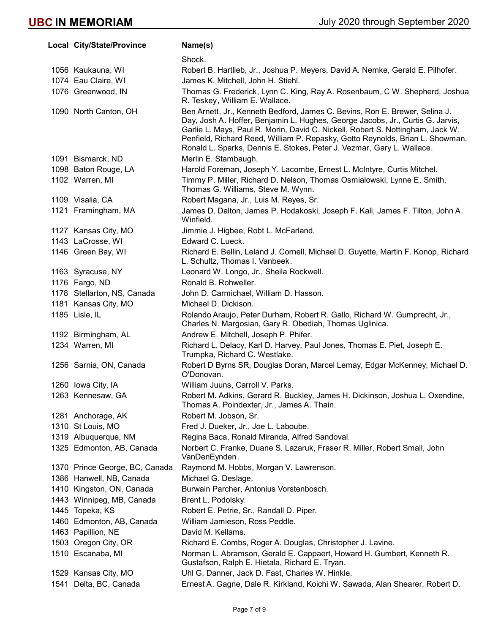|      | Local City/State/Province      | Name(s)                                                                                                                                                                                                                                                                                                                                                                                                   |
|------|--------------------------------|-----------------------------------------------------------------------------------------------------------------------------------------------------------------------------------------------------------------------------------------------------------------------------------------------------------------------------------------------------------------------------------------------------------|
|      |                                | Shock.                                                                                                                                                                                                                                                                                                                                                                                                    |
|      | 1056 Kaukauna, WI              | Robert B. Hartlieb, Jr., Joshua P. Meyers, David A. Nemke, Gerald E. Pilhofer.                                                                                                                                                                                                                                                                                                                            |
|      | 1074 Eau Claire, WI            | James K. Mitchell, John H. Stiehl.                                                                                                                                                                                                                                                                                                                                                                        |
|      | 1076 Greenwood, IN             | Thomas G. Frederick, Lynn C. King, Ray A. Rosenbaum, C W. Shepherd, Joshua<br>R. Teskey, William E. Wallace.                                                                                                                                                                                                                                                                                              |
|      | 1090 North Canton, OH          | Ben Arnett, Jr., Kenneth Bedford, James C. Bevins, Ron E. Brewer, Selina J.<br>Day, Josh A. Hoffer, Benjamin L. Hughes, George Jacobs, Jr., Curtis G. Jarvis,<br>Garlie L. Mays, Paul R. Morin, David C. Nickell, Robert S. Nottingham, Jack W.<br>Penfield, Richard Reed, William P. Repasky, Gotto Reynolds, Brian L. Showman,<br>Ronald L. Sparks, Dennis E. Stokes, Peter J. Vezmar, Gary L. Wallace. |
|      | 1091 Bismarck, ND              | Merlin E. Stambaugh.                                                                                                                                                                                                                                                                                                                                                                                      |
|      | 1098 Baton Rouge, LA           | Harold Foreman, Joseph Y. Lacombe, Ernest L. McIntyre, Curtis Mitchel.                                                                                                                                                                                                                                                                                                                                    |
|      | 1102 Warren, MI                | Timmy P. Miller, Richard D. Nelson, Thomas Osmialowski, Lynne E. Smith,<br>Thomas G. Williams, Steve M. Wynn.                                                                                                                                                                                                                                                                                             |
|      | 1109 Visalia, CA               | Robert Magana, Jr., Luis M. Reyes, Sr.                                                                                                                                                                                                                                                                                                                                                                    |
|      | 1121 Framingham, MA            | James D. Dalton, James P. Hodakoski, Joseph F. Kali, James F. Tilton, John A.<br>Winfield.                                                                                                                                                                                                                                                                                                                |
|      | 1127 Kansas City, MO           | Jimmie J. Higbee, Robt L. McFarland.                                                                                                                                                                                                                                                                                                                                                                      |
|      | 1143 LaCrosse, WI              | Edward C. Lueck.                                                                                                                                                                                                                                                                                                                                                                                          |
|      | 1146 Green Bay, WI             | Richard E. Bellin, Leland J. Cornell, Michael D. Guyette, Martin F. Konop, Richard<br>L. Schultz, Thomas I. Vanbeek.                                                                                                                                                                                                                                                                                      |
|      | 1163 Syracuse, NY              | Leonard W. Longo, Jr., Sheila Rockwell.                                                                                                                                                                                                                                                                                                                                                                   |
|      | 1176 Fargo, ND                 | Ronald B. Rohweller.                                                                                                                                                                                                                                                                                                                                                                                      |
|      | 1178 Stellarton, NS, Canada    | John D. Carmichael, William D. Hasson.                                                                                                                                                                                                                                                                                                                                                                    |
|      | 1181 Kansas City, MO           | Michael D. Dickison.                                                                                                                                                                                                                                                                                                                                                                                      |
|      | 1185 Lisle, IL                 | Rolando Araujo, Peter Durham, Robert R. Gallo, Richard W. Gumprecht, Jr.,<br>Charles N. Margosian, Gary R. Obediah, Thomas Uglinica.                                                                                                                                                                                                                                                                      |
|      | 1192 Birmingham, AL            | Andrew E. Mitchell, Joseph P. Phifer.                                                                                                                                                                                                                                                                                                                                                                     |
|      | 1234 Warren, MI                | Richard L. Delacy, Karl D. Harvey, Paul Jones, Thomas E. Piet, Joseph E.<br>Trumpka, Richard C. Westlake.                                                                                                                                                                                                                                                                                                 |
|      | 1256 Sarnia, ON, Canada        | Robert D Byrns SR, Douglas Doran, Marcel Lemay, Edgar McKenney, Michael D.<br>O'Donovan.                                                                                                                                                                                                                                                                                                                  |
|      | 1260 Iowa City, IA             | William Juuns, Carroll V. Parks.                                                                                                                                                                                                                                                                                                                                                                          |
|      | 1263 Kennesaw, GA              | Robert M. Adkins, Gerard R. Buckley, James H. Dickinson, Joshua L. Oxendine,<br>Thomas A. Poindexter, Jr., James A. Thain.                                                                                                                                                                                                                                                                                |
|      | 1281 Anchorage, AK             | Robert M. Jobson, Sr.                                                                                                                                                                                                                                                                                                                                                                                     |
|      | 1310 St Louis, MO              | Fred J. Dueker, Jr., Joe L. Laboube.                                                                                                                                                                                                                                                                                                                                                                      |
|      | 1319 Albuquerque, NM           | Regina Baca, Ronald Miranda, Alfred Sandoval.                                                                                                                                                                                                                                                                                                                                                             |
|      | 1325 Edmonton, AB, Canada      | Norbert C. Franke, Duane S. Lazaruk, Fraser R. Miller, Robert Small, John<br>VanDenEynden.                                                                                                                                                                                                                                                                                                                |
|      | 1370 Prince George, BC, Canada | Raymond M. Hobbs, Morgan V. Lawrenson.                                                                                                                                                                                                                                                                                                                                                                    |
|      | 1386 Hanwell, NB, Canada       | Michael G. Deslage.                                                                                                                                                                                                                                                                                                                                                                                       |
|      | 1410 Kingston, ON, Canada      | Burwain Parcher, Antonius Vorstenbosch.                                                                                                                                                                                                                                                                                                                                                                   |
|      | 1443 Winnipeg, MB, Canada      | Brent L. Podolsky.                                                                                                                                                                                                                                                                                                                                                                                        |
|      | 1445 Topeka, KS                | Robert E. Petrie, Sr., Randall D. Piper.                                                                                                                                                                                                                                                                                                                                                                  |
|      | 1460 Edmonton, AB, Canada      | William Jamieson, Ross Peddle.                                                                                                                                                                                                                                                                                                                                                                            |
|      | 1463 Papillion, NE             | David M. Kellams.                                                                                                                                                                                                                                                                                                                                                                                         |
|      | 1503 Oregon City, OR           | Richard E. Combs, Roger A. Douglas, Christopher J. Lavine.                                                                                                                                                                                                                                                                                                                                                |
|      | 1510 Escanaba, MI              | Norman L. Abramson, Gerald E. Cappaert, Howard H. Gumbert, Kenneth R.<br>Gustafson, Ralph E. Hietala, Richard E. Tryan.                                                                                                                                                                                                                                                                                   |
|      | 1529 Kansas City, MO           | Uhl G. Danner, Jack D. Fast, Charles W. Hinkle.                                                                                                                                                                                                                                                                                                                                                           |
| 1541 | Delta, BC, Canada              | Ernest A. Gagne, Dale R. Kirkland, Koichi W. Sawada, Alan Shearer, Robert D.                                                                                                                                                                                                                                                                                                                              |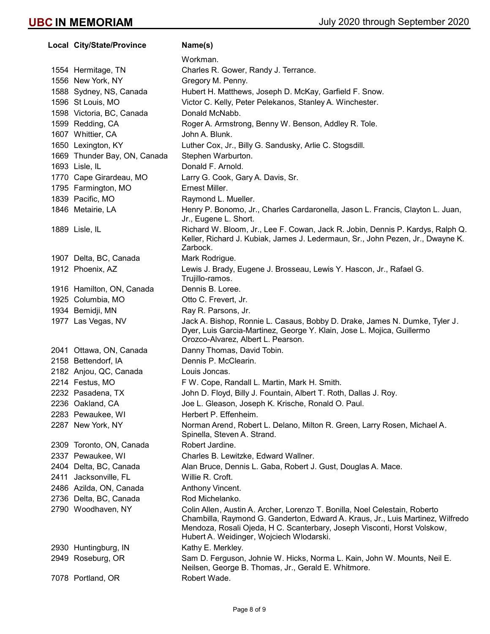Local City/State/Province Name(s) Workman. 1554 Hermitage, TN Charles R. Gower, Randy J. Terrance. 1556 New York, NY Gregory M. Penny. 1588 Sydney, NS, Canada Hubert H. Matthews, Joseph D. McKay, Garfield F. Snow. 1596 St Louis, MO Victor C. Kelly, Peter Pelekanos, Stanley A. Winchester. 1598 Victoria, BC, Canada Donald McNabb. 1599 Redding, CA **Roger A. Armstrong, Benny W. Benson, Addley R. Tole.** 1607 Whittier, CA John A. Blunk. 1650 Lexington, KY Luther Cox, Jr., Billy G. Sandusky, Arlie C. Stogsdill. 1669 Thunder Bay, ON, Canada Stephen Warburton. 1693 Lisle, IL **Donald F. Arnold.** 1770 Cape Girardeau, MO Larry G. Cook, Gary A. Davis, Sr. 1795 Farmington, MO **Ernest Miller.** 1839 Pacific, MO Raymond L. Mueller. 1846 Metairie, LA **Henry P. Bonomo, Jr., Charles Cardaronella**, Jason L. Francis, Clayton L. Juan, Jr., Eugene L. Short. 1889 Lisle, IL Richard W. Bloom, Jr., Lee F. Cowan, Jack R. Jobin, Dennis P. Kardys, Ralph Q. Keller, Richard J. Kubiak, James J. Ledermaun, Sr., John Pezen, Jr., Dwayne K. Zarbock. 1907 Delta, BC, Canada Mark Rodrigue. 1912 Phoenix, AZ Lewis J. Brady, Eugene J. Brosseau, Lewis Y. Hascon, Jr., Rafael G. Trujillo-ramos. 1916 Hamilton, ON, Canada Dennis B. Loree. 1925 Columbia, MO Otto C. Frevert, Jr. 1934 Bemidji, MN Ray R. Parsons, Jr. 1977 Las Vegas, NV Jack A. Bishop, Ronnie L. Casaus, Bobby D. Drake, James N. Dumke, Tyler J. Dyer, Luis Garcia-Martinez, George Y. Klain, Jose L. Mojica, Guillermo Orozco-Alvarez, Albert L. Pearson. 2041 Ottawa, ON, Canada Danny Thomas, David Tobin. 2158 Bettendorf, IA Dennis P. McClearin. 2182 Anjou, QC, Canada Louis Joncas. 2214 Festus, MO F W. Cope, Randall L. Martin, Mark H. Smith. 2232 Pasadena, TX John D. Floyd, Billy J. Fountain, Albert T. Roth, Dallas J. Roy. 2236 Oakland, CA Joe L. Gleason, Joseph K. Krische, Ronald O. Paul. 2283 Pewaukee, WI Herbert P. Effenheim. 2287 New York, NY Norman Arend, Robert L. Delano, Milton R. Green, Larry Rosen, Michael A. Spinella, Steven A. Strand. 2309 Toronto, ON, Canada Robert Jardine. 2337 Pewaukee, WI Charles B. Lewitzke, Edward Wallner. 2404 Delta, BC, Canada Alan Bruce, Dennis L. Gaba, Robert J. Gust, Douglas A. Mace. 2411 Jacksonville, FL Willie R. Croft. 2486 Azilda, ON, Canada Anthony Vincent. 2736 Delta, BC, Canada Rod Michelanko. 2790 Woodhaven, NY Colin Allen, Austin A. Archer, Lorenzo T. Bonilla, Noel Celestain, Roberto Chambilla, Raymond G. Ganderton, Edward A. Kraus, Jr., Luis Martinez, Wilfredo Mendoza, Rosali Ojeda, H C. Scanterbary, Joseph Visconti, Horst Volskow, Hubert A. Weidinger, Wojciech Wlodarski. 2930 Huntingburg, IN Kathy E. Merkley. 2949 Roseburg, OR Sam D. Ferguson, Johnie W. Hicks, Norma L. Kain, John W. Mounts, Neil E. Neilsen, George B. Thomas, Jr., Gerald E. Whitmore. 7078 Portland, OR Robert Wade.